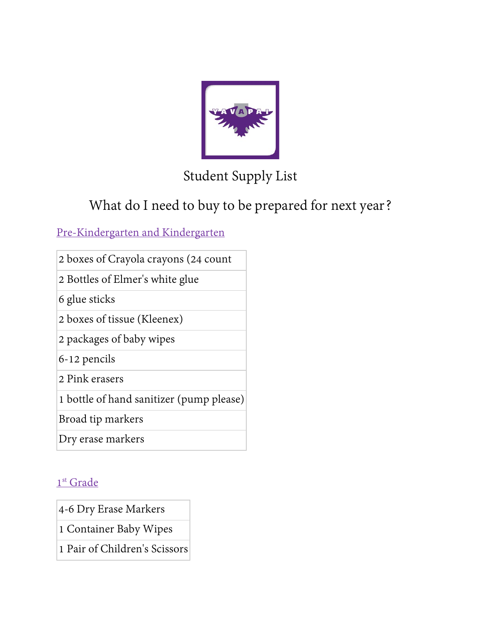

# Student Supply List

# What do I need to buy to be prepared for next year?

### Pre-Kindergarten and Kindergarten

- 2 boxes of Crayola crayons (24 count
- 2 Bottles of Elmer's white glue
- 6 glue sticks
- 2 boxes of tissue (Kleenex)
- 2 packages of baby wipes
- 6-12 pencils
- 2 Pink erasers
- 1 bottle of hand sanitizer (pump please)
- Broad tip markers
- Dry erase markers

### 1<sup>st</sup> Grade

- 4-6 Dry Erase Markers
- 1 Container Baby Wipes
- 1 Pair of Children's Scissors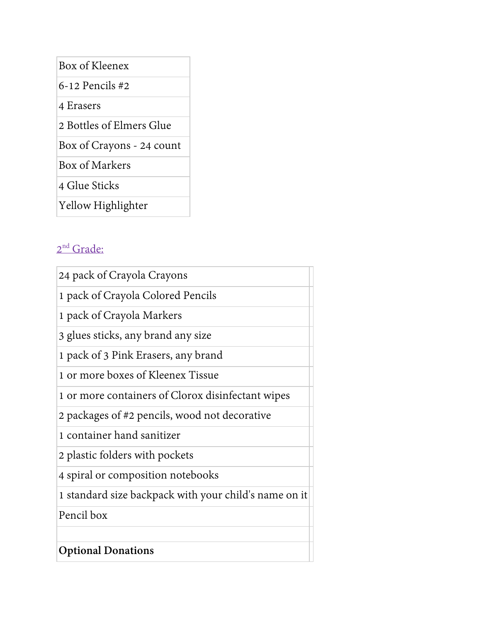Box of Kleenex

6-12 Pencils #2

4 Erasers

2 Bottles of Elmers Glue

Box of Crayons - 24 count

Box of Markers

4 Glue Sticks

Yellow Highlighter

## 2<sup>nd</sup> Grade:

| 24 pack of Crayola Crayons                            |
|-------------------------------------------------------|
| 1 pack of Crayola Colored Pencils                     |
| 1 pack of Crayola Markers                             |
| 3 glues sticks, any brand any size                    |
| 1 pack of 3 Pink Erasers, any brand                   |
| 1 or more boxes of Kleenex Tissue                     |
| 1 or more containers of Clorox disinfectant wipes     |
| 2 packages of #2 pencils, wood not decorative         |
| 1 container hand sanitizer                            |
| 2 plastic folders with pockets                        |
| 4 spiral or composition notebooks                     |
| 1 standard size backpack with your child's name on it |
| Pencil box                                            |
|                                                       |
| <b>Optional Donations</b>                             |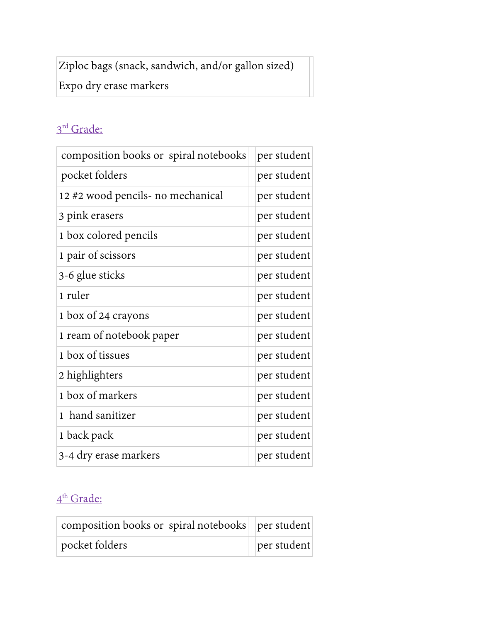Ziploc bags (snack, sandwich, and/or gallon sized)

Expo dry erase markers

## 3<sup>rd</sup> Grade:

| composition books or spiral notebooks | per student |
|---------------------------------------|-------------|
| pocket folders                        | per student |
| 12 #2 wood pencils- no mechanical     | per student |
| 3 pink erasers                        | per student |
| 1 box colored pencils                 | per student |
| 1 pair of scissors                    | per student |
| 3-6 glue sticks                       | per student |
| 1 ruler                               | per student |
| 1 box of 24 crayons                   | per student |
| 1 ream of notebook paper              | per student |
| 1 box of tissues                      | per student |
| 2 highlighters                        | per student |
| 1 box of markers                      | per student |
| hand sanitizer<br>1                   | per student |
| 1 back pack                           | per student |
| 3-4 dry erase markers                 | per student |

### 4<sup>th</sup> Grade:

| composition books or spiral notebooks   per student |                                                                          |
|-----------------------------------------------------|--------------------------------------------------------------------------|
| pocket folders                                      | $\left\vert \left\vert \right\vert$ per student $\left\vert \right\vert$ |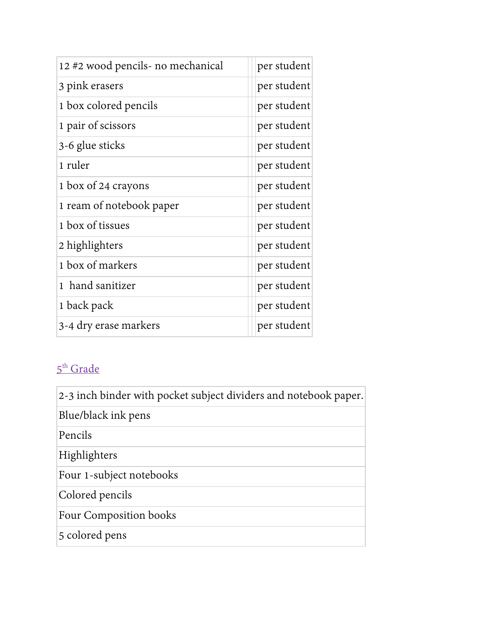| 12 #2 wood pencils- no mechanical | per student |
|-----------------------------------|-------------|
| 3 pink erasers                    | per student |
| 1 box colored pencils             | per student |
| 1 pair of scissors                | per student |
| 3-6 glue sticks                   | per student |
| 1 ruler                           | per student |
| 1 box of 24 crayons               | per student |
| 1 ream of notebook paper          | per student |
| 1 box of tissues                  | per student |
| 2 highlighters                    | per student |
| 1 box of markers                  | per student |
| 1 hand sanitizer                  | per student |
| 1 back pack                       | per student |
| 3-4 dry erase markers             | per student |

# 5<sup>th</sup> Grade

| 2-3 inch binder with pocket subject dividers and notebook paper. |
|------------------------------------------------------------------|
| Blue/black ink pens                                              |
| Pencils                                                          |
| Highlighters                                                     |
| Four 1-subject notebooks                                         |
| Colored pencils                                                  |
| Four Composition books                                           |
| 5 colored pens                                                   |